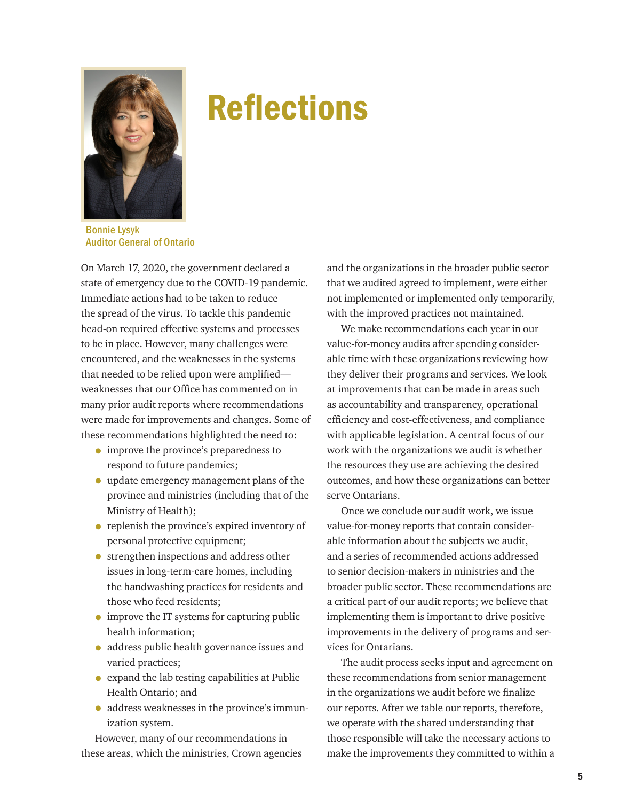

## Reflections

Bonnie Lysyk Auditor General of Ontario

On March 17, 2020, the government declared a state of emergency due to the COVID-19 pandemic. Immediate actions had to be taken to reduce the spread of the virus. To tackle this pandemic head-on required effective systems and processes to be in place. However, many challenges were encountered, and the weaknesses in the systems that needed to be relied upon were amplified weaknesses that our Office has commented on in many prior audit reports where recommendations were made for improvements and changes. Some of these recommendations highlighted the need to:

- improve the province's preparedness to respond to future pandemics;
- update emergency management plans of the province and ministries (including that of the Ministry of Health);
- replenish the province's expired inventory of personal protective equipment;
- strengthen inspections and address other issues in long-term-care homes, including the handwashing practices for residents and those who feed residents;
- improve the IT systems for capturing public health information;
- address public health governance issues and varied practices;
- expand the lab testing capabilities at Public Health Ontario; and
- address weaknesses in the province's immunization system.

However, many of our recommendations in these areas, which the ministries, Crown agencies

and the organizations in the broader public sector that we audited agreed to implement, were either not implemented or implemented only temporarily, with the improved practices not maintained.

We make recommendations each year in our value-for-money audits after spending considerable time with these organizations reviewing how they deliver their programs and services. We look at improvements that can be made in areas such as accountability and transparency, operational efficiency and cost-effectiveness, and compliance with applicable legislation. A central focus of our work with the organizations we audit is whether the resources they use are achieving the desired outcomes, and how these organizations can better serve Ontarians.

Once we conclude our audit work, we issue value-for-money reports that contain considerable information about the subjects we audit, and a series of recommended actions addressed to senior decision-makers in ministries and the broader public sector. These recommendations are a critical part of our audit reports; we believe that implementing them is important to drive positive improvements in the delivery of programs and services for Ontarians.

The audit process seeks input and agreement on these recommendations from senior management in the organizations we audit before we finalize our reports. After we table our reports, therefore, we operate with the shared understanding that those responsible will take the necessary actions to make the improvements they committed to within a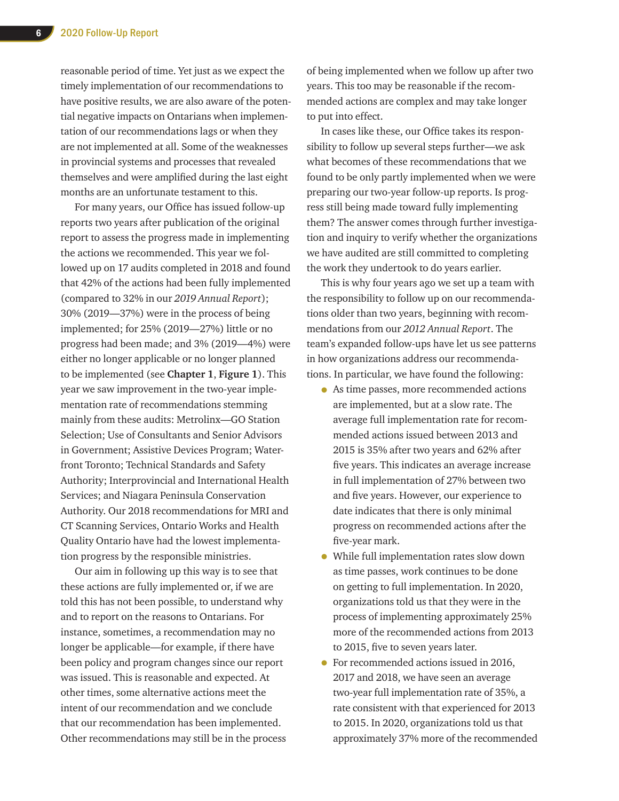reasonable period of time. Yet just as we expect the timely implementation of our recommendations to have positive results, we are also aware of the potential negative impacts on Ontarians when implementation of our recommendations lags or when they are not implemented at all. Some of the weaknesses in provincial systems and processes that revealed themselves and were amplified during the last eight months are an unfortunate testament to this.

For many years, our Office has issued follow-up reports two years after publication of the original report to assess the progress made in implementing the actions we recommended. This year we followed up on 17 audits completed in 2018 and found that 42% of the actions had been fully implemented (compared to 32% in our *2019 Annual Report*); 30% (2019—37%) were in the process of being implemented; for 25% (2019—27%) little or no progress had been made; and 3% (2019—4%) were either no longer applicable or no longer planned to be implemented (see **Chapter 1**, **Figure 1**). This year we saw improvement in the two-year implementation rate of recommendations stemming mainly from these audits: Metrolinx—GO Station Selection; Use of Consultants and Senior Advisors in Government; Assistive Devices Program; Waterfront Toronto; Technical Standards and Safety Authority; Interprovincial and International Health Services; and Niagara Peninsula Conservation Authority. Our 2018 recommendations for MRI and CT Scanning Services, Ontario Works and Health Quality Ontario have had the lowest implementation progress by the responsible ministries.

Our aim in following up this way is to see that these actions are fully implemented or, if we are told this has not been possible, to understand why and to report on the reasons to Ontarians. For instance, sometimes, a recommendation may no longer be applicable—for example, if there have been policy and program changes since our report was issued. This is reasonable and expected. At other times, some alternative actions meet the intent of our recommendation and we conclude that our recommendation has been implemented. Other recommendations may still be in the process of being implemented when we follow up after two years. This too may be reasonable if the recommended actions are complex and may take longer to put into effect.

In cases like these, our Office takes its responsibility to follow up several steps further—we ask what becomes of these recommendations that we found to be only partly implemented when we were preparing our two-year follow-up reports. Is progress still being made toward fully implementing them? The answer comes through further investigation and inquiry to verify whether the organizations we have audited are still committed to completing the work they undertook to do years earlier.

This is why four years ago we set up a team with the responsibility to follow up on our recommendations older than two years, beginning with recommendations from our *2012 Annual Report*. The team's expanded follow-ups have let us see patterns in how organizations address our recommendations. In particular, we have found the following:

- As time passes, more recommended actions are implemented, but at a slow rate. The average full implementation rate for recommended actions issued between 2013 and 2015 is 35% after two years and 62% after five years. This indicates an average increase in full implementation of 27% between two and five years. However, our experience to date indicates that there is only minimal progress on recommended actions after the five-year mark.
- While full implementation rates slow down as time passes, work continues to be done on getting to full implementation. In 2020, organizations told us that they were in the process of implementing approximately 25% more of the recommended actions from 2013 to 2015, five to seven years later.
- For recommended actions issued in 2016, 2017 and 2018, we have seen an average two-year full implementation rate of 35%, a rate consistent with that experienced for 2013 to 2015. In 2020, organizations told us that approximately 37% more of the recommended